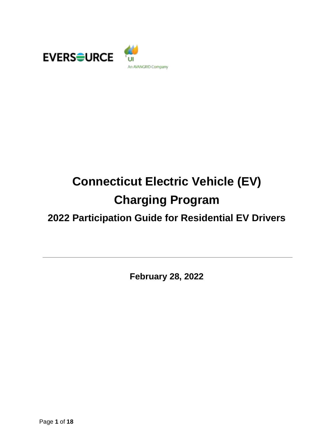



# **Connecticut Electric Vehicle (EV) Charging Program**

# **2022 Participation Guide for Residential EV Drivers**

**February 28, 2022**

Page **1** of **18**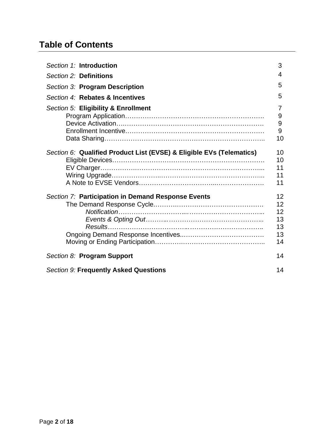## **Table of Contents**

| Section 1: Introduction                                              | 3                                                     |
|----------------------------------------------------------------------|-------------------------------------------------------|
| Section 2: Definitions                                               | 4                                                     |
| Section 3: Program Description                                       | 5                                                     |
| Section 4: Rebates & Incentives                                      | 5                                                     |
| Section 5: Eligibility & Enrollment                                  | 7<br>9<br>9<br>9<br>10                                |
| Section 6: Qualified Product List (EVSE) & Eligible EVs (Telematics) | 10<br>10<br>11<br>11<br>11                            |
| Section 7: Participation in Demand Response Events                   | $12 \overline{ }$<br>12<br>12<br>13<br>13<br>13<br>14 |
| Section 8: Program Support                                           | 14                                                    |
| <b>Section 9: Frequently Asked Questions</b>                         | 14                                                    |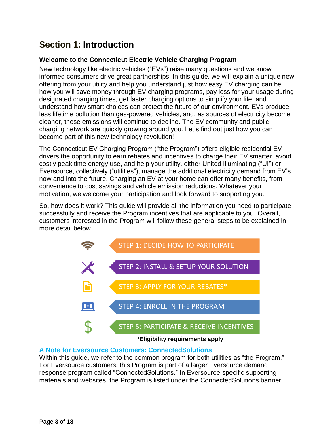### **Section 1: Introduction**

### **Welcome to the Connecticut Electric Vehicle Charging Program**

New technology like electric vehicles ("EVs") raise many questions and we know informed consumers drive great partnerships. In this guide, we will explain a unique new offering from your utility and help you understand just how easy EV charging can be, how you will save money through EV charging programs, pay less for your usage during designated charging times, get faster charging options to simplify your life, and understand how smart choices can protect the future of our environment. EVs produce less lifetime pollution than gas-powered vehicles, and, as sources of electricity become cleaner, these emissions will continue to decline. The EV community and public charging network are quickly growing around you. Let's find out just how you can become part of this new technology revolution!

The Connecticut EV Charging Program ("the Program") offers eligible residential EV drivers the opportunity to earn rebates and incentives to charge their EV smarter, avoid costly peak time energy use, and help your utility, either United Illuminating ("UI") or Eversource, collectively ("utilities"), manage the additional electricity demand from EV's now and into the future. Charging an EV at your home can offer many benefits, from convenience to cost savings and vehicle emission reductions. Whatever your motivation, we welcome your participation and look forward to supporting you.

So, how does it work? This guide will provide all the information you need to participate successfully and receive the Program incentives that are applicable to you. Overall, customers interested in the Program will follow these general steps to be explained in more detail below.



### **A Note for Eversource Customers: ConnectedSolutions**

Within this guide, we refer to the common program for both utilities as "the Program." For Eversource customers, this Program is part of a larger Eversource demand response program called "ConnectedSolutions." In Eversource-specific supporting materials and websites, the Program is listed under the ConnectedSolutions banner.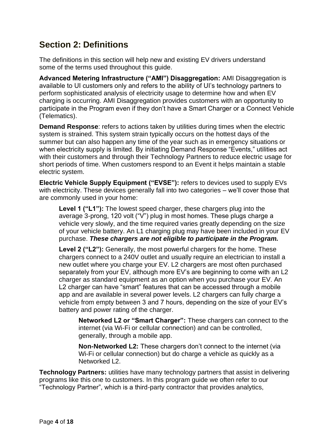### **Section 2: Definitions**

The definitions in this section will help new and existing EV drivers understand some of the terms used throughout this guide.

**Advanced Metering Infrastructure ("AMI") Disaggregation:** AMI Disaggregation is available to UI customers only and refers to the ability of UI's technology partners to perform sophisticated analysis of electricity usage to determine how and when EV charging is occurring. AMI Disaggregation provides customers with an opportunity to participate in the Program even if they don't have a Smart Charger or a Connect Vehicle (Telematics).

**Demand Response**: refers to actions taken by utilities during times when the electric system is strained. This system strain typically occurs on the hottest days of the summer but can also happen any time of the year such as in emergency situations or when electricity supply is limited. By initiating Demand Response "Events," utilities act with their customers and through their Technology Partners to reduce electric usage for short periods of time. When customers respond to an Event it helps maintain a stable electric system.

**Electric Vehicle Supply Equipment ("EVSE"):** refers to devices used to supply EVs with electricity. These devices generally fall into two categories – we'll cover those that are commonly used in your home:

**Level 1 ("L1"):** The lowest speed charger, these chargers plug into the average 3-prong, 120 volt ("V") plug in most homes. These plugs charge a vehicle very slowly, and the time required varies greatly depending on the size of your vehicle battery. An L1 charging plug may have been included in your EV purchase. *These chargers are not eligible to participate in the Program.*

**Level 2 ("L2"):** Generally, the most powerful chargers for the home. These chargers connect to a 240V outlet and usually require an electrician to install a new outlet where you charge your EV. L2 chargers are most often purchased separately from your EV, although more EV's are beginning to come with an L2 charger as standard equipment as an option when you purchase your EV. An L2 charger can have "smart" features that can be accessed through a mobile app and are available in several power levels. L2 chargers can fully charge a vehicle from empty between 3 and 7 hours, depending on the size of your EV's battery and power rating of the charger.

**Networked L2 or "Smart Charger":** These chargers can connect to the internet (via Wi-Fi or cellular connection) and can be controlled, generally, through a mobile app.

**Non-Networked L2:** These chargers don't connect to the internet (via Wi-Fi or cellular connection) but do charge a vehicle as quickly as a Networked L2.

**Technology Partners:** utilities have many technology partners that assist in delivering programs like this one to customers. In this program guide we often refer to our "Technology Partner", which is a third-party contractor that provides analytics,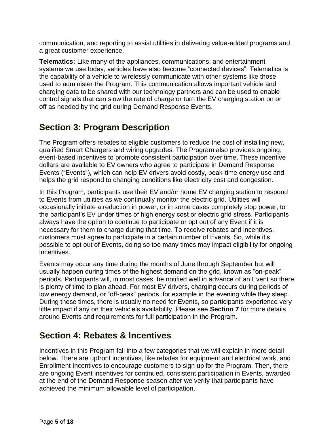communication, and reporting to assist utilities in delivering value-added programs and a great customer experience.

**Telematics:** Like many of the appliances, communications, and entertainment systems we use today, vehicles have also become "connected devices". Telematics is the capability of a vehicle to wirelessly communicate with other systems like those used to administer the Program. This communication allows important vehicle and charging data to be shared with our technology partners and can be used to enable control signals that can slow the rate of charge or turn the EV charging station on or off as needed by the grid during Demand Response Events.

### **Section 3: Program Description**

The Program offers rebates to eligible customers to reduce the cost of installing new, qualified Smart Chargers and wiring upgrades. The Program also provides ongoing, event-based incentives to promote consistent participation over time. These incentive dollars are available to EV owners who agree to participate in Demand Response Events ("Events"), which can help EV drivers avoid costly, peak-time energy use and helps the grid respond to changing conditions like electricity cost and congestion.

In this Program, participants use their EV and/or home EV charging station to respond to Events from utilities as we continually monitor the electric grid. Utilities will occasionally initiate a reduction in power, or in some cases completely stop power, to the participant's EV under times of high energy cost or electric grid stress. Participants always have the option to continue to participate or opt out of any Event if it is necessary for them to charge during that time. To receive rebates and incentives, customers must agree to participate in a certain number of Events. So, while it's possible to opt out of Events, doing so too many times may impact eligibility for ongoing incentives.

Events may occur any time during the months of June through September but will usually happen during times of the highest demand on the grid, known as "on-peak" periods. Participants will, in most cases, be notified well in advance of an Event so there is plenty of time to plan ahead. For most EV drivers, charging occurs during periods of low energy demand, or "off-peak" periods, for example in the evening while they sleep. During these times, there is usually no need for Events, so participants experience very little impact if any on their vehicle's availability. Please see **Section 7** for more details around Events and requirements for full participation in the Program.

### **Section 4: Rebates & Incentives**

Incentives in this Program fall into a few categories that we will explain in more detail below. There are upfront incentives, like rebates for equipment and electrical work, and Enrollment Incentives to encourage customers to sign up for the Program. Then, there are ongoing Event incentives for continued, consistent participation in Events, awarded at the end of the Demand Response season after we verify that participants have achieved the minimum allowable level of participation.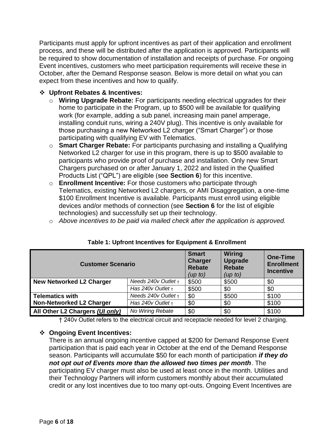Participants must apply for upfront incentives as part of their application and enrollment process, and these will be distributed after the application is approved. Participants will be required to show documentation of installation and receipts of purchase. For ongoing Event incentives, customers who meet participation requirements will receive these in October, after the Demand Response season. Below is more detail on what you can expect from these incentives and how to qualify.

### ❖ **Upfront Rebates & Incentives:**

- o **Wiring Upgrade Rebate:** For participants needing electrical upgrades for their home to participate in the Program, up to \$500 will be available for qualifying work (for example, adding a sub panel, increasing main panel amperage, installing conduit runs, wiring a 240V plug). This incentive is only available for those purchasing a new Networked L2 charger ("Smart Charger") or those participating with qualifying EV with Telematics.
- o **Smart Charger Rebate:** For participants purchasing and installing a Qualifying Networked L2 charger for use in this program, there is up to \$500 available to participants who provide proof of purchase and installation. Only new Smart Chargers purchased on or after January 1, 2022 and listed in the Qualified Products List ("QPL") are eligible (see **Section 6**) for this incentive.
- o **Enrollment Incentive:** For those customers who participate through Telematics, existing Networked L2 chargers, or AMI Disaggregation, a one-time \$100 Enrollment Incentive is available. Participants must enroll using eligible devices and/or methods of connection (see **Section 6** for the list of eligible technologies) and successfully set up their technology.
- o *Above incentives to be paid via mailed check after the application is approved.*

| <b>Customer Scenario</b>        | <b>Smart</b><br><b>Charger</b><br><b>Rebate</b><br>(up to) | Wiring<br><b>Upgrade</b><br><b>Rebate</b><br>(up to) | <b>One-Time</b><br><b>Enrollment</b><br><b>Incentive</b> |       |
|---------------------------------|------------------------------------------------------------|------------------------------------------------------|----------------------------------------------------------|-------|
| <b>New Networked L2 Charger</b> | Needs $240v$ Outlet $t +$                                  | \$500                                                | \$500                                                    | \$0   |
|                                 | Has $240v$ Outlet $t +$                                    | \$500                                                | \$0                                                      | \$0   |
| <b>Telematics with</b>          | Needs $240v$ Outlet $t +$                                  | \$0                                                  | \$500                                                    | \$100 |
| <b>Non-Networked L2 Charger</b> | Has $240v$ Outlet +                                        | \$0                                                  | \$0                                                      | \$100 |
| All Other L2 Chargers (Ul only) | No Wiring Rebate                                           | \$0                                                  | \$0                                                      | \$100 |

### **Table 1: Upfront Incentives for Equipment & Enrollment**

† 240v Outlet refers to the electrical circuit and receptacle needed for level 2 charging.

### ❖ **Ongoing Event Incentives:**

There is an annual ongoing incentive capped at \$200 for Demand Response Event participation that is paid each year in October at the end of the Demand Response season. Participants will accumulate \$50 for each month of participation *if they do not opt out of Events more than the allowed two times per month*. The participating EV charger must also be used at least once in the month. Utilities and their Technology Partners will inform customers monthly about their accumulated credit or any lost incentives due to too many opt-outs. Ongoing Event Incentives are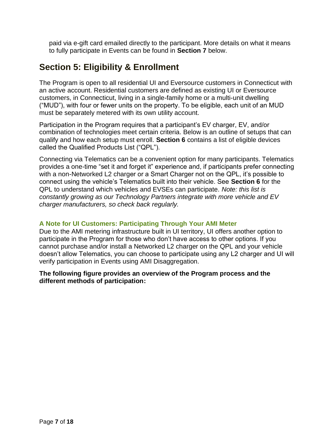paid via e-gift card emailed directly to the participant. More details on what it means to fully participate in Events can be found in **Section 7** below.

### **Section 5: Eligibility & Enrollment**

The Program is open to all residential UI and Eversource customers in Connecticut with an active account. Residential customers are defined as existing UI or Eversource customers, in Connecticut, living in a single-family home or a multi-unit dwelling ("MUD"), with four or fewer units on the property. To be eligible, each unit of an MUD must be separately metered with its own utility account.

Participation in the Program requires that a participant's EV charger, EV, and/or combination of technologies meet certain criteria. Below is an outline of setups that can qualify and how each setup must enroll. **Section 6** contains a list of eligible devices called the Qualified Products List ("QPL").

Connecting via Telematics can be a convenient option for many participants. Telematics provides a one-time "set it and forget it" experience and, if participants prefer connecting with a non-Networked L2 charger or a Smart Charger not on the QPL, it's possible to connect using the vehicle's Telematics built into their vehicle. See **Section 6** for the QPL to understand which vehicles and EVSEs can participate. *Note: this list is constantly growing as our Technology Partners integrate with more vehicle and EV charger manufacturers, so check back regularly.*

### **A Note for UI Customers: Participating Through Your AMI Meter**

Due to the AMI metering infrastructure built in UI territory, UI offers another option to participate in the Program for those who don't have access to other options. If you cannot purchase and/or install a Networked L2 charger on the QPL and your vehicle doesn't allow Telematics, you can choose to participate using any L2 charger and UI will verify participation in Events using AMI Disaggregation.

#### **The following figure provides an overview of the Program process and the different methods of participation:**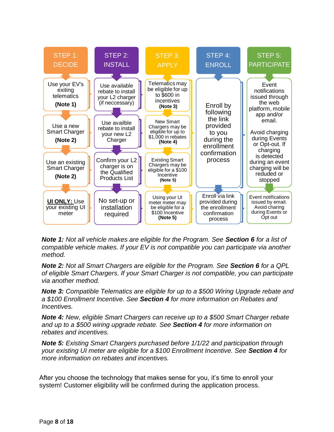

*Note 1: Not all vehicle makes are eligible for the Program. See Section 6 for a list of compatible vehicle makes. If your EV is not compatible you can participate via another method.*

*Note 2: Not all Smart Chargers are eligible for the Program. See Section 6 for a QPL of eligible Smart Chargers. If your Smart Charger is not compatible, you can participate via another method.*

*Note 3: Compatible Telematics are eligible for up to a \$500 Wiring Upgrade rebate and a \$100 Enrollment Incentive. See Section 4 for more information on Rebates and Incentives.*

*Note 4: New, eligible Smart Chargers can receive up to a \$500 Smart Charger rebate and up to a \$500 wiring upgrade rebate. See Section 4 for more information on rebates and incentives.*

*Note 5: Existing Smart Chargers purchased before 1/1/22 and participation through your existing UI meter are eligible for a \$100 Enrollment Incentive. See Section 4 for more information on rebates and incentives.*

After you choose the technology that makes sense for you, it's time to enroll your system! Customer eligibility will be confirmed during the application process.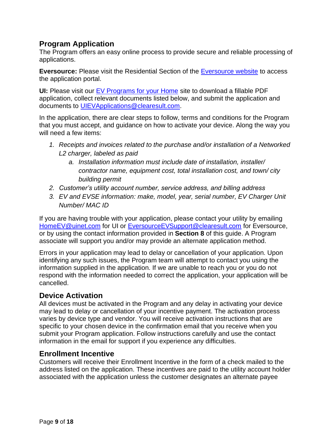### **Program Application**

The Program offers an easy online process to provide secure and reliable processing of applications.

**Eversource:** Please visit the Residential Section of the **Eversource website** to access the application portal.

**UI:** Please visit our [EV Programs for your Home](https://www.uinet.com/wps/portal/uinet/smartenergy/electric_vehicles/evprogramsforhome/!ut/p/z1/vZPJbsIwEIafpYccI5ssEI4BBUKbhS3rJTLBSYzIgnHT9u3rSLRUQiVVVdU3j2Z-fzPzG8QgBHGFWpIjRuoKHfk9ioeJPLANU5lCR1soKly5G9t5srYStCQQ3E0YyiD-ST385uiwr94HMYjTijWsANEzqTBDOU2uPQiwwGiPqQDPJaIMV5jmbwLER5wyStKkxQVJj_jMQ21D65yi8pzVtKhL3Ck3KdmDKFPHGcK7TEyHA1lUMjgSdwpWRS3DqqzAMdSg1GUHUzuZW-5Et5Kp62yNcAsiAXoLx9jq83XifKEyL1Sbjsq4UBkfVP4nleEvL1SzmpodVdC3kvj-QIOOtGdnfRoRZxhdFaC_GHAFe6asJq6kWSMQtAS_AK-qacldtPndKFeeseYv_ctUTQge-7zGP4NE7amd82YQK0RSZTUIb6zEQzdW4qXkcDrFOjdrXTH8ykD4x25tSs8rNbkUQ3hQ81J7FefB0tIf3gGwA6gY/dz/d5/L2dBISEvZ0FBIS9nQSEh/?WCM_GLOBAL_CONTEXT=%2FUINETAGR_Navigation%2FHeader%2FSmartEnergy%2FElectric_Vehicles%2FEVProgramsForHome) site to download a fillable PDF application, collect relevant documents listed below, and submit the application and documents to [UIEVApplications@clearesult.com.](mailto:UIEVApplications@clearesult.com)

In the application, there are clear steps to follow, terms and conditions for the Program that you must accept, and guidance on how to activate your device. Along the way you will need a few items:

- *1. Receipts and invoices related to the purchase and/or installation of a Networked L2 charger, labeled as paid*
	- *a. Installation information must include date of installation, installer/ contractor name, equipment cost, total installation cost, and town/ city building permit*
- *2. Customer's utility account number, service address, and billing address*
- *3. EV and EVSE information: make, model, year, serial number, EV Charger Unit Number/ MAC ID*

If you are having trouble with your application, please contact your utility by emailing [HomeEV@uinet.com](mailto:HomeEV@uinet.com) for UI or EversourceEVSupport@clearesult.com for Eversource, or by using the contact information provided in **Section 8** of this guide. A Program associate will support you and/or may provide an alternate application method.

Errors in your application may lead to delay or cancellation of your application. Upon identifying any such issues, the Program team will attempt to contact you using the information supplied in the application. If we are unable to reach you or you do not respond with the information needed to correct the application, your application will be cancelled.

### **Device Activation**

All devices must be activated in the Program and any delay in activating your device may lead to delay or cancellation of your incentive payment. The activation process varies by device type and vendor. You will receive activation instructions that are specific to your chosen device in the confirmation email that you receive when you submit your Program application. Follow instructions carefully and use the contact information in the email for support if you experience any difficulties.

### **Enrollment Incentive**

Customers will receive their Enrollment Incentive in the form of a check mailed to the address listed on the application. These incentives are paid to the utility account holder associated with the application unless the customer designates an alternate payee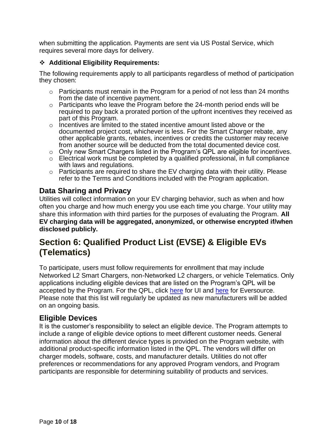when submitting the application. Payments are sent via US Postal Service, which requires several more days for delivery.

### ❖ **Additional Eligibility Requirements:**

The following requirements apply to all participants regardless of method of participation they chosen:

- $\circ$  Participants must remain in the Program for a period of not less than 24 months from the date of incentive payment.
- $\circ$  Participants who leave the Program before the 24-month period ends will be required to pay back a prorated portion of the upfront incentives they received as part of this Program.
- $\circ$  Incentives are limited to the stated incentive amount listed above or the documented project cost, whichever is less. For the Smart Charger rebate, any other applicable grants, rebates, incentives or credits the customer may receive from another source will be deducted from the total documented device cost.
- $\circ$  Only new Smart Chargers listed in the Program's QPL are eligible for incentives.
- $\circ$  Electrical work must be completed by a qualified professional, in full compliance with laws and regulations.
- o Participants are required to share the EV charging data with their utility. Please refer to the Terms and Conditions included with the Program application.

### **Data Sharing and Privacy**

Utilities will collect information on your EV charging behavior, such as when and how often you charge and how much energy you use each time you charge. Your utility may share this information with third parties for the purposes of evaluating the Program. **All EV charging data will be aggregated, anonymized, or otherwise encrypted if/when disclosed publicly.**

### **Section 6: Qualified Product List (EVSE) & Eligible EVs (Telematics)**

To participate, users must follow requirements for enrollment that may include Networked L2 Smart Chargers, non-Networked L2 chargers, or vehicle Telematics. Only applications including eligible devices that are listed on the Program's QPL will be accepted by the Program. For the QPL, click [here](https://www.eversource.com/content/ct-c/residential/save-money-energy/clean-energy-options/electric-vehicles/charging-station-rebates) for UI and here for Eversource. Please note that this list will regularly be updated as new manufacturers will be added on an ongoing basis.

### **Eligible Devices**

It is the customer's responsibility to select an eligible device. The Program attempts to include a range of eligible device options to meet different customer needs. General information about the different device types is provided on the Program website, with additional product-specific information listed in the QPL. The vendors will differ on charger models, software, costs, and manufacturer details. Utilities do not offer preferences or recommendations for any approved Program vendors, and Program participants are responsible for determining suitability of products and services.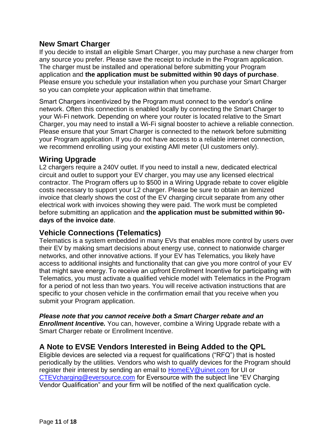### **New Smart Charger**

If you decide to install an eligible Smart Charger, you may purchase a new charger from any source you prefer. Please save the receipt to include in the Program application. The charger must be installed and operational before submitting your Program application and **the application must be submitted within 90 days of purchase**. Please ensure you schedule your installation when you purchase your Smart Charger so you can complete your application within that timeframe.

Smart Chargers incentivized by the Program must connect to the vendor's online network. Often this connection is enabled locally by connecting the Smart Charger to your Wi-Fi network. Depending on where your router is located relative to the Smart Charger, you may need to install a Wi-Fi signal booster to achieve a reliable connection. Please ensure that your Smart Charger is connected to the network before submitting your Program application. If you do not have access to a reliable internet connection, we recommend enrolling using your existing AMI meter (UI customers only).

### **Wiring Upgrade**

L2 chargers require a 240V outlet. If you need to install a new, dedicated electrical circuit and outlet to support your EV charger, you may use any licensed electrical contractor. The Program offers up to \$500 in a Wiring Upgrade rebate to cover eligible costs necessary to support your L2 charger. Please be sure to obtain an itemized invoice that clearly shows the cost of the EV charging circuit separate from any other electrical work with invoices showing they were paid. The work must be completed before submitting an application and **the application must be submitted within 90 days of the invoice date**.

### **Vehicle Connections (Telematics)**

Telematics is a system embedded in many EVs that enables more control by users over their EV by making smart decisions about energy use, connect to nationwide charger networks, and other innovative actions. If your EV has Telematics, you likely have access to additional insights and functionality that can give you more control of your EV that might save energy. To receive an upfront Enrollment Incentive for participating with Telematics, you must activate a qualified vehicle model with Telematics in the Program for a period of not less than two years. You will receive activation instructions that are specific to your chosen vehicle in the confirmation email that you receive when you submit your Program application.

*Please note that you cannot receive both a Smart Charger rebate and an Enrollment Incentive.* You can, however, combine a Wiring Upgrade rebate with a Smart Charger rebate or Enrollment Incentive.

### **A Note to EVSE Vendors Interested in Being Added to the QPL**

Eligible devices are selected via a request for qualifications ("RFQ") that is hosted periodically by the utilities. Vendors who wish to qualify devices for the Program should register their interest by sending an email to [HomeEV@uinet.com](mailto:HomeEV@uinet.com) for UI or [CTEVcharging@eversource.com](mailto:CTEVcharging@eversource.com) for Eversource with the subject line "EV Charging Vendor Qualification" and your firm will be notified of the next qualification cycle.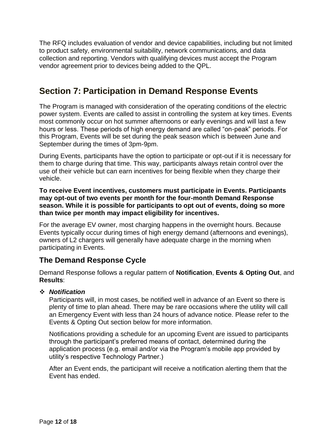The RFQ includes evaluation of vendor and device capabilities, including but not limited to product safety, environmental suitability, network communications, and data collection and reporting. Vendors with qualifying devices must accept the Program vendor agreement prior to devices being added to the QPL.

### **Section 7: Participation in Demand Response Events**

The Program is managed with consideration of the operating conditions of the electric power system. Events are called to assist in controlling the system at key times. Events most commonly occur on hot summer afternoons or early evenings and will last a few hours or less. These periods of high energy demand are called "on-peak" periods. For this Program, Events will be set during the peak season which is between June and September during the times of 3pm-9pm.

During Events, participants have the option to participate or opt-out if it is necessary for them to charge during that time. This way, participants always retain control over the use of their vehicle but can earn incentives for being flexible when they charge their vehicle.

**To receive Event incentives, customers must participate in Events. Participants may opt-out of two events per month for the four-month Demand Response season. While it is possible for participants to opt out of events, doing so more than twice per month may impact eligibility for incentives.**

For the average EV owner, most charging happens in the overnight hours. Because Events typically occur during times of high energy demand (afternoons and evenings), owners of L2 chargers will generally have adequate charge in the morning when participating in Events.

### **The Demand Response Cycle**

Demand Response follows a regular pattern of **Notification**, **Events & Opting Out**, and **Results**:

### ❖ *Notification*

Participants will, in most cases, be notified well in advance of an Event so there is plenty of time to plan ahead. There may be rare occasions where the utility will call an Emergency Event with less than 24 hours of advance notice. Please refer to the Events & Opting Out section below for more information.

Notifications providing a schedule for an upcoming Event are issued to participants through the participant's preferred means of contact, determined during the application process (e.g. email and/or via the Program's mobile app provided by utility's respective Technology Partner.)

After an Event ends, the participant will receive a notification alerting them that the Event has ended.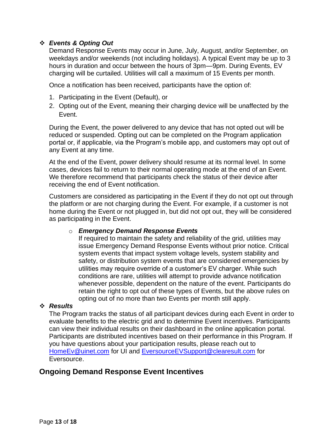### ❖ *Events & Opting Out*

Demand Response Events may occur in June, July, August, and/or September, on weekdays and/or weekends (not including holidays). A typical Event may be up to 3 hours in duration and occur between the hours of 3pm—9pm. During Events, EV charging will be curtailed. Utilities will call a maximum of 15 Events per month.

Once a notification has been received, participants have the option of:

- 1. Participating in the Event (Default), or
- 2. Opting out of the Event, meaning their charging device will be unaffected by the Event.

During the Event, the power delivered to any device that has not opted out will be reduced or suspended. Opting out can be completed on the Program application portal or, if applicable, via the Program's mobile app, and customers may opt out of any Event at any time.

At the end of the Event, power delivery should resume at its normal level. In some cases, devices fail to return to their normal operating mode at the end of an Event. We therefore recommend that participants check the status of their device after receiving the end of Event notification.

Customers are considered as participating in the Event if they do not opt out through the platform or are not charging during the Event. For example, if a customer is not home during the Event or not plugged in, but did not opt out, they will be considered as participating in the Event.

#### o *Emergency Demand Response Events*

If required to maintain the safety and reliability of the grid, utilities may issue Emergency Demand Response Events without prior notice. Critical system events that impact system voltage levels, system stability and safety, or distribution system events that are considered emergencies by utilities may require override of a customer's EV charger. While such conditions are rare, utilities will attempt to provide advance notification whenever possible, dependent on the nature of the event. Participants do retain the right to opt out of these types of Events, but the above rules on opting out of no more than two Events per month still apply.

#### ❖ *Results*

The Program tracks the status of all participant devices during each Event in order to evaluate benefits to the electric grid and to determine Event incentives. Participants can view their individual results on their dashboard in the online application portal. Participants are distributed incentives based on their performance in this Program. If you have questions about your participation results, please reach out to [HomeEv@uinet.com](mailto:HomeEv@uinet.com) for UI and [EversourceEVSupport@clearesult.com](mailto:EversourceEVSupport@clearesult.com) for Eversource.

### **Ongoing Demand Response Event Incentives**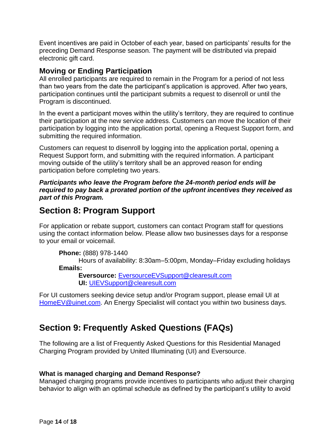Event incentives are paid in October of each year, based on participants' results for the preceding Demand Response season. The payment will be distributed via prepaid electronic gift card.

### **Moving or Ending Participation**

All enrolled participants are required to remain in the Program for a period of not less than two years from the date the participant's application is approved. After two years, participation continues until the participant submits a request to disenroll or until the Program is discontinued.

In the event a participant moves within the utility's territory, they are required to continue their participation at the new service address. Customers can move the location of their participation by logging into the application portal, opening a Request Support form, and submitting the required information.

Customers can request to disenroll by logging into the application portal, opening a Request Support form, and submitting with the required information. A participant moving outside of the utility's territory shall be an approved reason for ending participation before completing two years.

*Participants who leave the Program before the 24-month period ends will be required to pay back a prorated portion of the upfront incentives they received as part of this Program.*

### **Section 8: Program Support**

For application or rebate support, customers can contact Program staff for questions using the contact information below. Please allow two businesses days for a response to your email or voicemail.

```
Phone: (888) 978-1440
```
Hours of availability: 8:30am–5:00pm, Monday–Friday excluding holidays **Emails:**

**Eversource:** [EversourceEVSupport@clearesult.com](mailto:EversourceEVSupport@clearesult.com) **UI:** [UIEVSupport@clearesult.com](mailto:UIEVSupport@clearesult.com)

For UI customers seeking device setup and/or Program support, please email UI at [HomeEV@uinet.com.](mailto:HomeEV@uinet.com) An Energy Specialist will contact you within two business days.

### **Section 9: Frequently Asked Questions (FAQs)**

The following are a list of Frequently Asked Questions for this Residential Managed Charging Program provided by United Illuminating (UI) and Eversource.

### **What is managed charging and Demand Response?**

Managed charging programs provide incentives to participants who adjust their charging behavior to align with an optimal schedule as defined by the participant's utility to avoid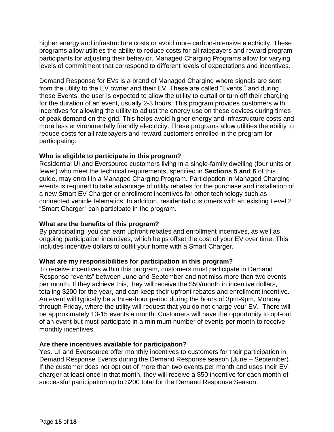higher energy and infrastructure costs or avoid more carbon-intensive electricity. These programs allow utilities the ability to reduce costs for all ratepayers and reward program participants for adjusting their behavior. Managed Charging Programs allow for varying levels of commitment that correspond to different levels of expectations and incentives.

Demand Response for EVs is a brand of Managed Charging where signals are sent from the utility to the EV owner and their EV. These are called "Events," and during these Events, the user is expected to allow the utility to curtail or turn off their charging for the duration of an event, usually 2-3 hours. This program provides customers with incentives for allowing the utility to adjust the energy use on these devices during times of peak demand on the grid. This helps avoid higher energy and infrastructure costs and more less environmentally friendly electricity. These programs allow utilities the ability to reduce costs for all ratepayers and reward customers enrolled in the program for participating.

#### **Who is eligible to participate in this program?**

Residential UI and Eversource customers living in a single-family dwelling (four units or fewer) who meet the technical requirements, specified in **Sections 5 and 6** of this guide, may enroll in a Managed Charging Program. Participation in Managed Charging events is required to take advantage of utility rebates for the purchase and installation of a new Smart EV Charger or enrollment incentives for other technology such as connected vehicle telematics. In addition, residential customers with an existing Level 2 "Smart Charger" can participate in the program.

#### **What are the benefits of this program?**

By participating, you can earn upfront rebates and enrollment incentives, as well as ongoing participation incentives, which helps offset the cost of your EV over time. This includes incentive dollars to outfit your home with a Smart Charger.

### **What are my responsibilities for participation in this program?**

To receive incentives within this program, customers must participate in Demand Response "events" between June and September and not miss more than two events per month. If they achieve this, they will receive the \$50/month in incentive dollars, totaling \$200 for the year, and can keep their upfront rebates and enrollment incentive. An event will typically be a three-hour period during the hours of 3pm-9pm, Monday through Friday, where the utility will request that you do not charge your EV. There will be approximately 13-15 events a month. Customers will have the opportunity to opt-out of an event but must participate in a minimum number of events per month to receive monthly incentives.

### **Are there incentives available for participation?**

Yes. UI and Eversource offer monthly incentives to customers for their participation in Demand Response Events during the Demand Response season (June – September). If the customer does not opt out of more than two events per month and uses their EV charger at least once in that month, they will receive a \$50 incentive for each month of successful participation up to \$200 total for the Demand Response Season.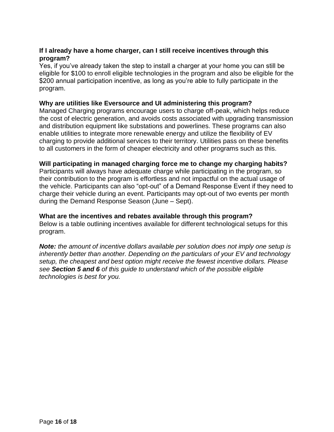### **If I already have a home charger, can I still receive incentives through this program?**

Yes, if you've already taken the step to install a charger at your home you can still be eligible for \$100 to enroll eligible technologies in the program and also be eligible for the \$200 annual participation incentive, as long as you're able to fully participate in the program.

#### **Why are utilities like Eversource and UI administering this program?**

Managed Charging programs encourage users to charge off-peak, which helps reduce the cost of electric generation, and avoids costs associated with upgrading transmission and distribution equipment like substations and powerlines. These programs can also enable utilities to integrate more renewable energy and utilize the flexibility of EV charging to provide additional services to their territory. Utilities pass on these benefits to all customers in the form of cheaper electricity and other programs such as this.

#### **Will participating in managed charging force me to change my charging habits?**

Participants will always have adequate charge while participating in the program, so their contribution to the program is effortless and not impactful on the actual usage of the vehicle. Participants can also "opt-out" of a Demand Response Event if they need to charge their vehicle during an event. Participants may opt-out of two events per month during the Demand Response Season (June – Sept).

#### **What are the incentives and rebates available through this program?**

Below is a table outlining incentives available for different technological setups for this program.

*Note: the amount of incentive dollars available per solution does not imply one setup is inherently better than another. Depending on the particulars of your EV and technology setup, the cheapest and best option might receive the fewest incentive dollars. Please see Section 5 and 6 of this guide to understand which of the possible eligible technologies is best for you.*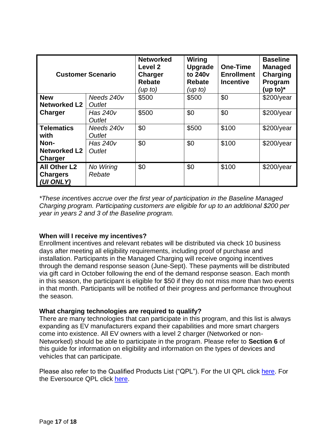| <b>Customer Scenario</b>                            |                                  | <b>Networked</b><br>Level 2<br><b>Charger</b><br><b>Rebate</b><br>(up to) | Wiring<br><b>Upgrade</b><br>to 240 <sub>v</sub><br><b>Rebate</b><br>(up to) | <b>One-Time</b><br><b>Enrollment</b><br><b>Incentive</b> | <b>Baseline</b><br><b>Managed</b><br><b>Charging</b><br>Program<br>(up to) $*$ |
|-----------------------------------------------------|----------------------------------|---------------------------------------------------------------------------|-----------------------------------------------------------------------------|----------------------------------------------------------|--------------------------------------------------------------------------------|
| <b>New</b><br><b>Networked L2</b>                   | Needs 240v<br><b>Outlet</b>      | \$500                                                                     | \$500                                                                       | \$0                                                      | $$200$ /year                                                                   |
| Charger                                             | Has 240v<br>Outlet               | \$500                                                                     | \$0                                                                         | \$0                                                      | $$200$ /year                                                                   |
| <b>Telematics</b><br>with                           | Needs 240v<br><b>Outlet</b>      | \$0                                                                       | \$500                                                                       | \$100                                                    | $$200$ /year                                                                   |
| Non-<br><b>Networked L2</b><br>Charger              | <b>Has 240v</b><br><b>Outlet</b> | \$0                                                                       | \$0                                                                         | \$100                                                    | $$200$ /year                                                                   |
| <b>All Other L2</b><br><b>Chargers</b><br>(UI ONLY) | No Wiring<br>Rebate              | \$0                                                                       | \$0                                                                         | \$100                                                    | $$200$ /year                                                                   |

*\*These incentives accrue over the first year of participation in the Baseline Managed Charging program. Participating customers are eligible for up to an additional \$200 per year in years 2 and 3 of the Baseline program.* 

### **When will I receive my incentives?**

Enrollment incentives and relevant rebates will be distributed via check 10 business days after meeting all eligibility requirements, including proof of purchase and installation. Participants in the Managed Charging will receive ongoing incentives through the demand response season (June-Sept). These payments will be distributed via gift card in October following the end of the demand response season. Each month in this season, the participant is eligible for \$50 if they do not miss more than two events in that month. Participants will be notified of their progress and performance throughout the season.

#### **What charging technologies are required to qualify?**

There are many technologies that can participate in this program, and this list is always expanding as EV manufacturers expand their capabilities and more smart chargers come into existence. All EV owners with a level 2 charger (Networked or non-Networked) should be able to participate in the program. Please refer to **Section 6** of this guide for information on eligibility and information on the types of devices and vehicles that can participate.

Please also refer to the Qualified Products List ("QPL"). For the UI QPL click [here.](https://www.uinet.com/wps/portal/uinet/smartenergy/electric_vehicles/evprogramsforhome/!ut/p/z1/vZPJbsIwEIafpYccI5ssEI4BBUKbhS3rJTLBSYzIgnHT9u3rSLRUQiVVVdU3j2Z-fzPzG8QgBHGFWpIjRuoKHfk9ioeJPLANU5lCR1soKly5G9t5srYStCQQ3E0YyiD-ST385uiwr94HMYjTijWsANEzqTBDOU2uPQiwwGiPqQDPJaIMV5jmbwLER5wyStKkxQVJj_jMQ21D65yi8pzVtKhL3Ck3KdmDKFPHGcK7TEyHA1lUMjgSdwpWRS3DqqzAMdSg1GUHUzuZW-5Et5Kp62yNcAsiAXoLx9jq83XifKEyL1Sbjsq4UBkfVP4nleEvL1SzmpodVdC3kvj-QIOOtGdnfRoRZxhdFaC_GHAFe6asJq6kWSMQtAS_AK-qacldtPndKFeeseYv_ctUTQge-7zGP4NE7amd82YQK0RSZTUIb6zEQzdW4qXkcDrFOjdrXTH8ykD4x25tSs8rNbkUQ3hQ81J7FefB0tIf3gGwA6gY/dz/d5/L2dBISEvZ0FBIS9nQSEh/?WCM_GLOBAL_CONTEXT=%2FUINETAGR_Navigation%2FHeader%2FSmartEnergy%2FElectric_Vehicles%2FEVProgramsForHome) For the Eversource QPL click [here.](https://www.eversource.com/content/ct-c/residential/save-money-energy/clean-energy-options/electric-vehicles/charging-station-rebates)